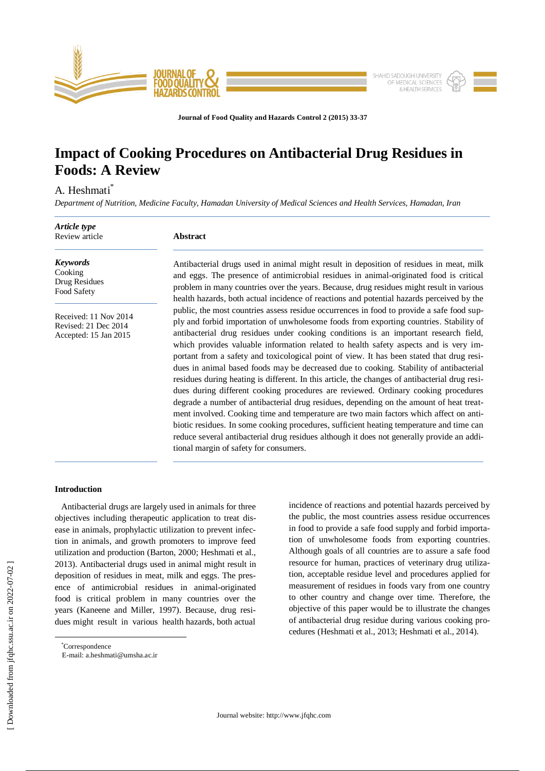

**Journal of Food Quality and Hazards Control 2 (2015) 33-37**

# **Impact of Cooking Procedures on Antibacterial Drug Residues in Foods: A Review**

# A. Heshmati\*

*Department of Nutrition, Medicine Faculty, Hamadan University of Medical Sciences and Health Services, Hamadan, Iran*

| Article type<br>Review article                                         | <b>Abstract</b>                                                                                                                                                                                                                                                                                                                                                                                                                                                                                                                                                                                                                                                                                                                                                                                                                                                                                                                                                                                                                                                                                                                                                             |
|------------------------------------------------------------------------|-----------------------------------------------------------------------------------------------------------------------------------------------------------------------------------------------------------------------------------------------------------------------------------------------------------------------------------------------------------------------------------------------------------------------------------------------------------------------------------------------------------------------------------------------------------------------------------------------------------------------------------------------------------------------------------------------------------------------------------------------------------------------------------------------------------------------------------------------------------------------------------------------------------------------------------------------------------------------------------------------------------------------------------------------------------------------------------------------------------------------------------------------------------------------------|
| <b>Keywords</b><br>Cooking<br>Drug Residues<br>Food Safety             | Antibacterial drugs used in animal might result in deposition of residues in meat, milk<br>and eggs. The presence of antimicrobial residues in animal-originated food is critical<br>problem in many countries over the years. Because, drug residues might result in various<br>health hazards, both actual incidence of reactions and potential hazards perceived by the                                                                                                                                                                                                                                                                                                                                                                                                                                                                                                                                                                                                                                                                                                                                                                                                  |
| Received: 11 Nov 2014<br>Revised: 21 Dec 2014<br>Accepted: 15 Jan 2015 | public, the most countries assess residue occurrences in food to provide a safe food sup-<br>ply and forbid importation of unwholesome foods from exporting countries. Stability of<br>antibacterial drug residues under cooking conditions is an important research field,<br>which provides valuable information related to health safety aspects and is very im-<br>portant from a safety and toxicological point of view. It has been stated that drug resi-<br>dues in animal based foods may be decreased due to cooking. Stability of antibacterial<br>residues during heating is different. In this article, the changes of antibacterial drug resi-<br>dues during different cooking procedures are reviewed. Ordinary cooking procedures<br>degrade a number of antibacterial drug residues, depending on the amount of heat treat-<br>ment involved. Cooking time and temperature are two main factors which affect on anti-<br>biotic residues. In some cooking procedures, sufficient heating temperature and time can<br>reduce several antibacterial drug residues although it does not generally provide an addi-<br>tional margin of safety for consumers. |

incidence of reactions and potential hazards perceived by the public, the most countries assess residue occurrences in food to provide a safe food supply and forbid importation of unwholesome foods from exporting countries. Although goals of all countries are to assure a safe food resource for human, practices of veterinary drug utilization, acceptable residue level and procedures applied for measurement of residues in foods vary from one country to other country and change over time. Therefore, the objective of this paper would be to illustrate the changes of antibacterial drug residue during various cooking procedures (Heshmati et al., 2013; Heshmati et al., 2014).

# **Introduction**

Antibacterial drugs are largely used in animals for three objectives including therapeutic application to treat disease in animals, prophylactic utilization to prevent infection in animals, and growth promoters to improve feed utilization and production (Barton, 2000; Heshmati et al., 2013). Antibacterial drugs used in animal might result in deposition of residues in meat, milk and eggs. The presence of antimicrobial residues in animal-originated food is critical problem in many countries over the years (Kaneene and Miller, 1997). Because, drug residues might result in various health hazards, both actual

\*Correspondence

 $\overline{a}$ 

E-mail: [a.heshmati@umsha.ac.ir](mailto:a.heshmati@umsha.ac.ir)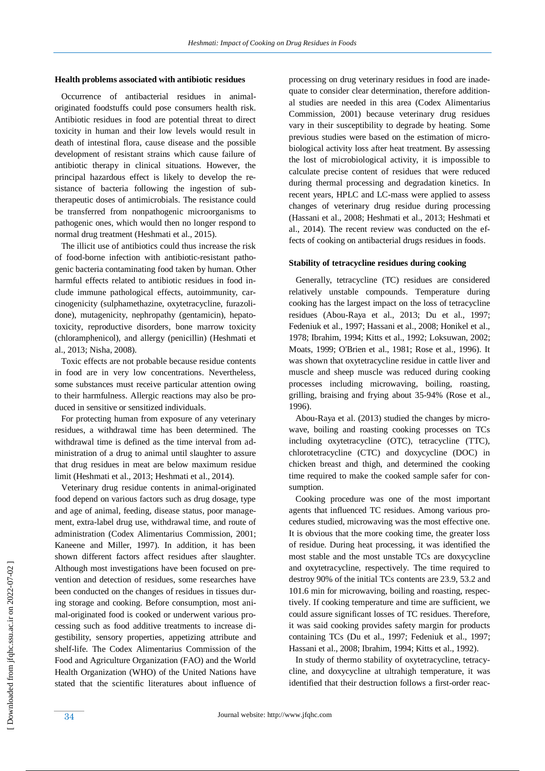#### **Health problems associated with antibiotic residues**

Occurrence of antibacterial residues in animaloriginated foodstuffs could pose consumers health risk. Antibiotic residues in food are potential threat to direct toxicity in human and their low levels would result in death of intestinal flora, cause disease and the possible development of resistant strains which cause failure of antibiotic therapy in clinical situations. However, the principal hazardous effect is likely to develop the resistance of bacteria following the ingestion of subtherapeutic doses of antimicrobials. The resistance could be transferred from nonpathogenic microorganisms to pathogenic ones, which would then no longer respond to normal drug treatment (Heshmati et al., 2015).

 The illicit use of antibiotics could thus increase the risk of food-borne infection with antibiotic-resistant pathogenic bacteria contaminating food taken by human. Other harmful effects related to antibiotic residues in food include immune pathological effects, autoimmunity, carcinogenicity (sulphamethazine, oxytetracycline, furazolidone), mutagenicity, nephropathy (gentamicin), hepatotoxicity, reproductive disorders, bone marrow toxicity (chloramphenicol), and allergy (penicillin) (Heshmati et al., 2013; Nisha, 2008).

Toxic effects are not probable because residue contents in food are in very low concentrations. Nevertheless, some substances must receive particular attention owing to their harmfulness. Allergic reactions may also be produced in sensitive or sensitized individuals.

For protecting human from exposure of any veterinary residues, a withdrawal time has been determined. The withdrawal time is defined as the time interval from administration of a drug to animal until slaughter to assure that drug residues in meat are below maximum residue limit (Heshmati et al., 2013; Heshmati et al., 2014).

Veterinary drug residue contents in animal-originated food depend on various factors such as drug dosage, type and age of animal, feeding, disease status, poor management, extra-label drug use, withdrawal time, and route of administration (Codex Alimentarius Commission, 2001; Kaneene and Miller, 1997). In addition, it has been shown different factors affect residues after slaughter. Although most investigations have been focused on prevention and detection of residues, some researches have been conducted on the changes of residues in tissues during storage and cooking. Before consumption, most animal-originated food is cooked or underwent various processing such as food additive treatments to increase digestibility, sensory properties, appetizing attribute and shelf-life. The Codex Alimentarius Commission of the Food and Agriculture Organization (FAO) and the World Health Organization (WHO) of the United Nations have stated that the scientific literatures about influence of processing on drug veterinary residues in food are inadequate to consider clear determination, therefore additional studies are needed in this area (Codex Alimentarius Commission, 2001) because veterinary drug residues vary in their susceptibility to degrade by heating. Some previous studies were based on the estimation of microbiological activity loss after heat treatment. By assessing the lost of microbiological activity, it is impossible to calculate precise content of residues that were reduced during thermal processing and degradation kinetics. In recent years, HPLC and LC-mass were applied to assess changes of veterinary drug residue during processing (Hassani et al., 2008; Heshmati et al., 2013; Heshmati et al., 2014). The recent review was conducted on the effects of cooking on antibacterial drugs residues in foods.

#### **Stability of tetracycline residues during cooking**

 Generally, tetracycline (TC) residues are considered relatively unstable compounds. Temperature during cooking has the largest impact on the loss of tetracycline residues (Abou-Raya et al., 2013; Du et al., 1997; Fedeniuk et al., 1997; Hassani et al., 2008; Honikel et al., 1978; Ibrahim, 1994; Kitts et al., 1992; Loksuwan, 2002; Moats, 1999; O'Brien et al., 1981; Rose et al., 1996). It was shown that oxytetracycline residue in cattle liver and muscle and sheep muscle was reduced during cooking processes including microwaving, boiling, roasting, grilling, braising and frying about 35-94% (Rose et al., 1996).

 Abou-Raya et al. (2013) studied the changes by microwave, boiling and roasting cooking processes on TCs including oxytetracycline (OTC), tetracycline (TTC), chlorotetracycline (CTC) and doxycycline (DOC) in chicken breast and thigh, and determined the cooking time required to make the cooked sample safer for consumption.

 Cooking procedure was one of the most important agents that influenced TC residues. Among various procedures studied, microwaving was the most effective one. It is obvious that the more cooking time, the greater loss of residue. During heat processing, it was identified the most stable and the most unstable TCs are doxycycline and oxytetracycline, respectively. The time required to destroy 90% of the initial TCs contents are 23.9, 53.2 and 101.6 min for microwaving, boiling and roasting, respectively. If cooking temperature and time are sufficient, we could assure significant losses of TC residues. Therefore, it was said cooking provides safety margin for products containing TCs (Du et al., 1997; Fedeniuk et al., 1997; Hassani et al., 2008; Ibrahim, 1994; Kitts et al., 1992).

In study of thermo stability of oxytetracycline, tetracycline, and doxycycline at ultrahigh temperature, it was identified that their destruction follows a first-order reac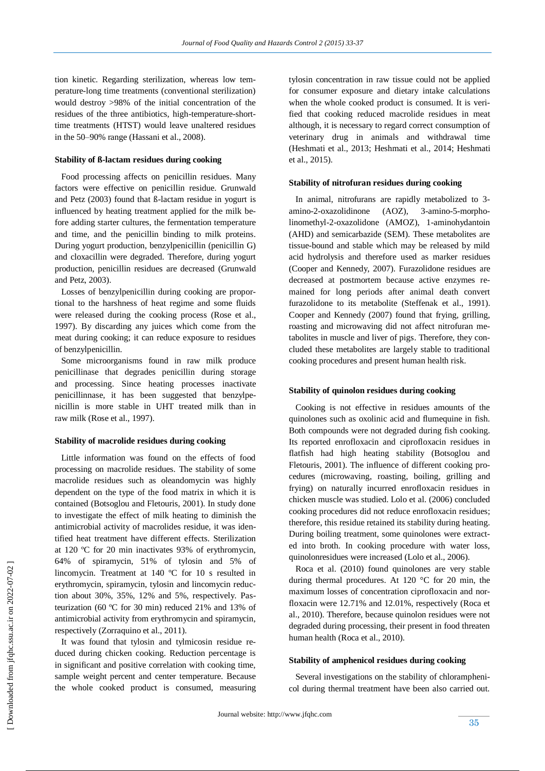tion kinetic. Regarding sterilization, whereas low temperature-long time treatments (conventional sterilization) would destroy >98% of the initial concentration of the residues of the three antibiotics, high-temperature-shorttime treatments (HTST) would leave unaltered residues in the 50–90% range (Hassani et al., 2008).

### **Stability of ß-lactam residues during cooking**

Food processing affects on penicillin residues. Many factors were effective on penicillin residue. Grunwald and Petz (2003) found that ß-lactam residue in yogurt is influenced by heating treatment applied for the milk before adding starter cultures, the fermentation temperature and time, and the penicillin binding to milk proteins. During yogurt production, benzylpenicillin (penicillin G) and cloxacillin were degraded. Therefore, during yogurt production, penicillin residues are decreased (Grunwald and Petz, 2003).

Losses of benzylpenicillin during cooking are proportional to the harshness of heat regime and some fluids were released during the cooking process (Rose et al., 1997). By discarding any juices which come from the meat during cooking; it can reduce exposure to residues of benzylpenicillin.

 Some microorganisms found in raw milk produce penicillinase that degrades penicillin during storage and processing. Since heating processes inactivate penicillinnase, it has been suggested that benzylpenicillin is more stable in UHT treated milk than in raw milk (Rose et al., 1997).

#### **Stability of macrolide residues during cooking**

 Little information was found on the effects of food processing on macrolide residues. The stability of some macrolide residues such as oleandomycin was highly dependent on the type of the food matrix in which it is contained (Botsoglou and Fletouris, 2001). In study done to investigate the effect of milk heating to diminish the antimicrobial activity of macrolides residue, it was identified heat treatment have different effects. Sterilization at 120 ºC for 20 min inactivates 93% of erythromycin, 64% of spiramycin, 51% of tylosin and 5% of lincomycin. Treatment at 140 ºC for 10 s resulted in erythromycin, spiramycin, tylosin and lincomycin reduction about 30%, 35%, 12% and 5%, respectively. Pasteurization (60 ºC for 30 min) reduced 21% and 13% of antimicrobial activity from erythromycin and spiramycin, respectively (Zorraquino et al., 2011).

It was found that tylosin and tylmicosin residue reduced during chicken cooking. Reduction percentage is in significant and positive correlation with cooking time, sample weight percent and center temperature. Because the whole cooked product is consumed, measuring tylosin concentration in raw tissue could not be applied for consumer exposure and dietary intake calculations when the whole cooked product is consumed. It is verified that cooking reduced macrolide residues in meat although, it is necessary to regard correct consumption of veterinary drug in animals and withdrawal time (Heshmati et al., 2013; Heshmati et al., 2014; Heshmati et al., 2015).

#### **Stability of nitrofuran residues during cooking**

In animal, nitrofurans are rapidly metabolized to 3 amino-2-oxazolidinone (AOZ), 3-amino-5-morpholinomethyl-2-oxazolidone (AMOZ), 1-aminohydantoin (AHD) and semicarbazide (SEM). These metabolites are tissue-bound and stable which may be released by mild acid hydrolysis and therefore used as marker residues (Cooper and Kennedy, 2007). Furazolidone residues are decreased at postmortem because active enzymes remained for long periods after animal death convert furazolidone to its metabolite (Steffenak et al., 1991). Cooper and Kennedy (2007) found that frying, grilling, roasting and microwaving did not affect nitrofuran metabolites in muscle and liver of pigs. Therefore, they concluded these metabolites are largely stable to traditional cooking procedures and present human health risk.

### **Stability of quinolon residues during cooking**

Cooking is not effective in residues amounts of the quinolones such as oxolinic acid and flumequine in fish. Both compounds were not degraded during fish cooking. Its reported enrofloxacin and ciprofloxacin residues in flatfish had high heating stability (Botsoglou and Fletouris, 2001). The influence of different cooking procedures (microwaving, roasting, boiling, grilling and frying) on naturally incurred enrofloxacin residues in chicken muscle was studied. Lolo et al. (2006) concluded cooking procedures did not reduce enrofloxacin residues; therefore, this residue retained its stability during heating. During boiling treatment, some quinolones were extracted into broth. In cooking procedure with water loss, quinolonresidues were increased (Lolo et al., 2006).

 Roca et al. (2010) found quinolones are very stable during thermal procedures. At 120 °C for 20 min, the maximum losses of concentration ciprofloxacin and norfloxacin were 12.71% and 12.01%, respectively (Roca et al., 2010). Therefore, because quinolon residues were not degraded during processing, their present in food threaten human health (Roca et al., 2010).

## **Stability of amphenicol residues during cooking**

Several investigations on the stability of chloramphenicol during thermal treatment have been also carried out.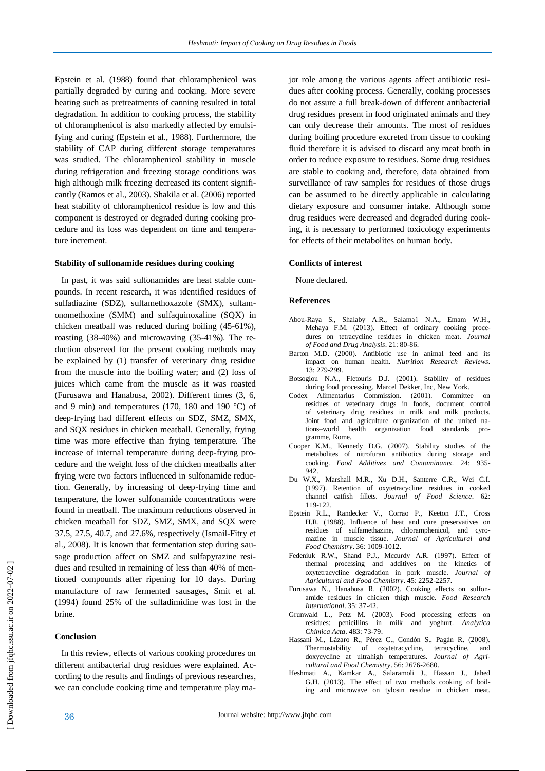Epstein et al. (1988) found that chloramphenicol was partially degraded by curing and cooking. More severe heating such as pretreatments of canning resulted in total degradation. In addition to cooking process, the stability of chloramphenicol is also markedly affected by emulsifying and curing (Epstein et al., 1988). Furthermore, the stability of CAP during different storage temperatures was studied. The chloramphenicol stability in muscle during refrigeration and freezing storage conditions was high although milk freezing decreased its content significantly (Ramos et al., 2003). Shakila et al. (2006) reported heat stability of chloramphenicol residue is low and this component is destroyed or degraded during cooking procedure and its loss was dependent on time and temperature increment.

#### **Stability of sulfonamide residues during cooking**

In past, it was said sulfonamides are heat stable compounds. In recent research, it was identified residues of sulfadiazine (SDZ), sulfamethoxazole (SMX), sulfamonomethoxine (SMM) and sulfaquinoxaline (SQX) in chicken meatball was reduced during boiling (45-61%), roasting (38-40%) and microwaving (35-41%). The reduction observed for the present cooking methods may be explained by (1) transfer of veterinary drug residue from the muscle into the boiling water; and (2) loss of juices which came from the muscle as it was roasted (Furusawa and Hanabusa, 2002). Different times (3, 6, and 9 min) and temperatures (170, 180 and 190 °C) of deep-frying had different effects on SDZ, SMZ, SMX, and SQX residues in chicken meatball. Generally, frying time was more effective than frying temperature. The increase of internal temperature during deep-frying procedure and the weight loss of the chicken meatballs after frying were two factors influenced in sulfonamide reduction. Generally, by increasing of deep-frying time and temperature, the lower sulfonamide concentrations were found in meatball. The maximum reductions observed in chicken meatball for SDZ, SMZ, SMX, and SQX were 37.5, 27.5, 40.7, and 27.6%, respectively (Ismail-Fitry et al., 2008). It is known that fermentation step during sausage production affect on SMZ and sulfapyrazine residues and resulted in remaining of less than 40% of mentioned compounds after ripening for 10 days. During manufacture of raw fermented sausages, Smit et al. (1994) found 25% of the sulfadimidine was lost in the brine.

# **Conclusion**

In this review, effects of various cooking procedures on different antibacterial drug residues were explained. According to the results and findings of previous researches, we can conclude cooking time and temperature play major role among the various agents affect antibiotic residues after cooking process. Generally, cooking processes do not assure a full break-down of different antibacterial drug residues present in food originated animals and they can only decrease their amounts. The most of residues during boiling procedure excreted from tissue to cooking fluid therefore it is advised to discard any meat broth in order to reduce exposure to residues. Some drug residues are stable to cooking and, therefore, data obtained from surveillance of raw samples for residues of those drugs can be assumed to be directly applicable in calculating dietary exposure and consumer intake. Although some drug residues were decreased and degraded during cooking, it is necessary to performed toxicology experiments for effects of their metabolites on human body.

#### **Conflicts of interest**

None declared.

#### **References**

- Abou-Raya S., Shalaby A.R., Salama1 N.A., Emam W.H., Mehaya F.M. (2013). Effect of ordinary cooking procedures on tetracycline residues in chicken meat. *Journal of Food and Drug Analysis*. 21: 80-86.
- Barton M.D. (2000). Antibiotic use in animal feed and its impact on human health. *Nutrition Research Reviews*. 13: 279-299.
- Botsoglou N.A., Fletouris D.J. (2001). Stability of residues during food processing. Marcel Dekker, Inc, New York.
- Codex Alimentarius Commission. (2001). Committee on residues of veterinary drugs in foods, document control of veterinary drug residues in milk and milk products. Joint food and agriculture organization of the united nations–world health organization food standards programme, Rome.
- Cooper K.M., Kennedy D.G. (2007). Stability studies of the metabolites of nitrofuran antibiotics during storage and cooking. *Food Additives and Contaminants*. 24: 935-  $942.$
- Du W.X., Marshall M.R., Xu D.H., Santerre C.R., Wei C.I. (1997). Retention of oxytetracycline residues in cooked channel catfish fillets. *Journal of Food Science*. 62: 119-122.
- Epstein R.L., Randecker V., Corrao P., Keeton J.T., Cross H.R. (1988). Influence of heat and cure preservatives on residues of sulfamethazine, chloramphenicol, and cyromazine in muscle tissue. *Journal of Agricultural and Food Chemistry*. 36: 1009-1012.
- Fedeniuk R.W., Shand P.J., Mccurdy A.R. (1997). Effect of thermal processing and additives on the kinetics of oxytetracycline degradation in pork muscle. *Journal of Agricultural and Food Chemistry*. 45: 2252-2257.
- Furusawa N., Hanabusa R. (2002). Cooking effects on sulfonamide residues in chicken thigh muscle. *Food Research International*. 35: 37-42.
- Grunwald L., Petz M. (2003). Food processing effects on residues: penicillins in milk and yoghurt. *Analytica Chimica Acta*. 483: 73-79.
- Hassani M., Lázaro R., Pérez C., Condón S., Pagán R. (2008). Thermostability of oxytetracycline, tetracycline, and doxycycline at ultrahigh temperatures. *Journal of Agricultural and Food Chemistry*. 56: 2676-2680.
- Heshmati A., Kamkar A., Salaramoli J., Hassan J., Jahed G.H. (2013). The effect of two methods cooking of boiling and microwave on tylosin residue in chicken meat.

 [\[ Downloaded from jfqhc.ssu.ac.ir on 2022](http://jfqhc.ssu.ac.ir/article-1-142-en.html)-07-02 ] Downloaded from jfqhc.ssu.ac.ir on 2022-07-02